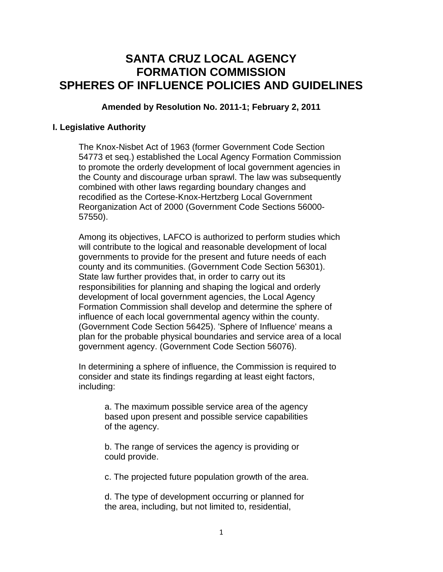## **SANTA CRUZ LOCAL AGENCY FORMATION COMMISSION SPHERES OF INFLUENCE POLICIES AND GUIDELINES**

**Amended by Resolution No. 2011-1; February 2, 2011**

## **I. Legislative Authority**

The Knox-Nisbet Act of 1963 (former Government Code Section 54773 et seq.) established the Local Agency Formation Commission to promote the orderly development of local government agencies in the County and discourage urban sprawl. The law was subsequently combined with other laws regarding boundary changes and recodified as the Cortese-Knox-Hertzberg Local Government Reorganization Act of 2000 (Government Code Sections 56000- 57550).

Among its objectives, LAFCO is authorized to perform studies which will contribute to the logical and reasonable development of local governments to provide for the present and future needs of each county and its communities. (Government Code Section 56301). State law further provides that, in order to carry out its responsibilities for planning and shaping the logical and orderly development of local government agencies, the Local Agency Formation Commission shall develop and determine the sphere of influence of each local governmental agency within the county. (Government Code Section 56425). 'Sphere of Influence' means a plan for the probable physical boundaries and service area of a local government agency. (Government Code Section 56076).

In determining a sphere of influence, the Commission is required to consider and state its findings regarding at least eight factors, including:

> a. The maximum possible service area of the agency based upon present and possible service capabilities of the agency.

b. The range of services the agency is providing or could provide.

c. The projected future population growth of the area.

d. The type of development occurring or planned for the area, including, but not limited to, residential,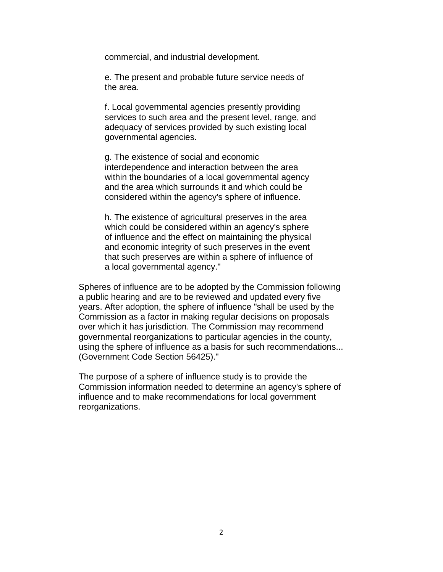commercial, and industrial development.

e. The present and probable future service needs of the area.

f. Local governmental agencies presently providing services to such area and the present level, range, and adequacy of services provided by such existing local governmental agencies.

g. The existence of social and economic interdependence and interaction between the area within the boundaries of a local governmental agency and the area which surrounds it and which could be considered within the agency's sphere of influence.

h. The existence of agricultural preserves in the area which could be considered within an agency's sphere of influence and the effect on maintaining the physical and economic integrity of such preserves in the event that such preserves are within a sphere of influence of a local governmental agency."

Spheres of influence are to be adopted by the Commission following a public hearing and are to be reviewed and updated every five years. After adoption, the sphere of influence "shall be used by the Commission as a factor in making regular decisions on proposals over which it has jurisdiction. The Commission may recommend governmental reorganizations to particular agencies in the county, using the sphere of influence as a basis for such recommendations... (Government Code Section 56425)."

The purpose of a sphere of influence study is to provide the Commission information needed to determine an agency's sphere of influence and to make recommendations for local government reorganizations.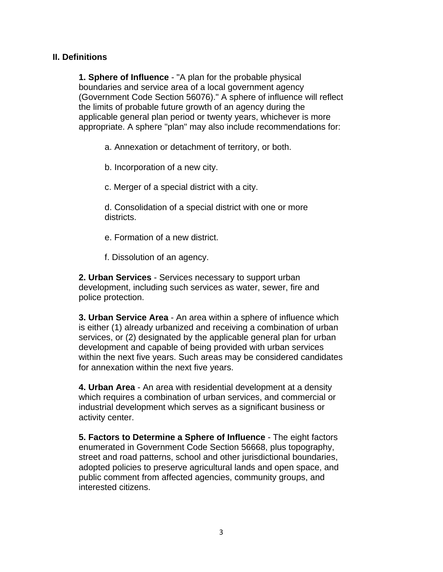## **II. Definitions**

**1. Sphere of Influence** - "A plan for the probable physical boundaries and service area of a local government agency (Government Code Section 56076)." A sphere of influence will reflect the limits of probable future growth of an agency during the applicable general plan period or twenty years, whichever is more appropriate. A sphere "plan" may also include recommendations for:

a. Annexation or detachment of territory, or both.

b. Incorporation of a new city.

c. Merger of a special district with a city.

d. Consolidation of a special district with one or more districts.

e. Formation of a new district.

f. Dissolution of an agency.

**2. Urban Services** - Services necessary to support urban development, including such services as water, sewer, fire and police protection.

**3. Urban Service Area** - An area within a sphere of influence which is either (1) already urbanized and receiving a combination of urban services, or (2) designated by the applicable general plan for urban development and capable of being provided with urban services within the next five years. Such areas may be considered candidates for annexation within the next five years.

**4. Urban Area** - An area with residential development at a density which requires a combination of urban services, and commercial or industrial development which serves as a significant business or activity center.

**5. Factors to Determine a Sphere of Influence** - The eight factors enumerated in Government Code Section 56668, plus topography, street and road patterns, school and other jurisdictional boundaries, adopted policies to preserve agricultural lands and open space, and public comment from affected agencies, community groups, and interested citizens.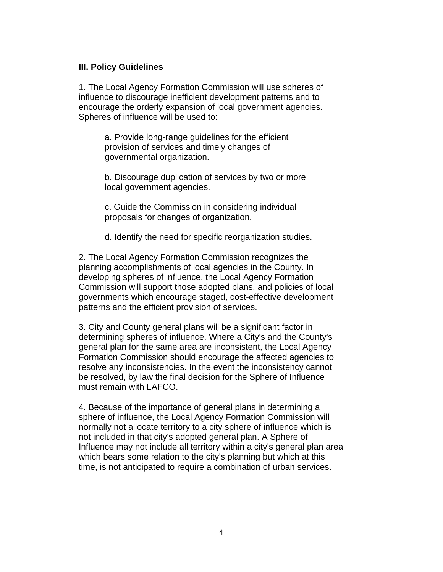#### **III. Policy Guidelines**

1. The Local Agency Formation Commission will use spheres of influence to discourage inefficient development patterns and to encourage the orderly expansion of local government agencies. Spheres of influence will be used to:

> a. Provide long-range guidelines for the efficient provision of services and timely changes of governmental organization.

b. Discourage duplication of services by two or more local government agencies.

c. Guide the Commission in considering individual proposals for changes of organization.

d. Identify the need for specific reorganization studies.

2. The Local Agency Formation Commission recognizes the planning accomplishments of local agencies in the County. In developing spheres of influence, the Local Agency Formation Commission will support those adopted plans, and policies of local governments which encourage staged, cost-effective development patterns and the efficient provision of services.

3. City and County general plans will be a significant factor in determining spheres of influence. Where a City's and the County's general plan for the same area are inconsistent, the Local Agency Formation Commission should encourage the affected agencies to resolve any inconsistencies. In the event the inconsistency cannot be resolved, by law the final decision for the Sphere of Influence must remain with LAFCO.

4. Because of the importance of general plans in determining a sphere of influence, the Local Agency Formation Commission will normally not allocate territory to a city sphere of influence which is not included in that city's adopted general plan. A Sphere of Influence may not include all territory within a city's general plan area which bears some relation to the city's planning but which at this time, is not anticipated to require a combination of urban services.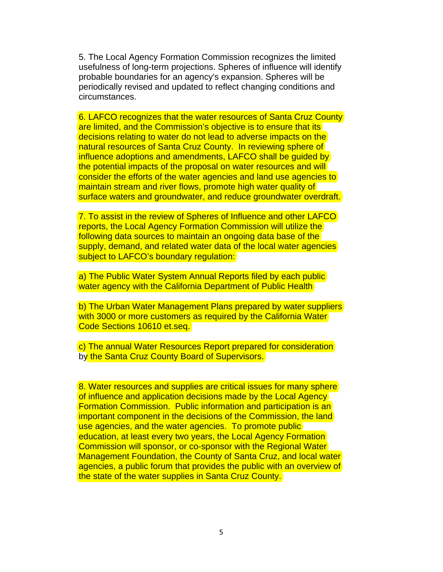5. The Local Agency Formation Commission recognizes the limited usefulness of long-term projections. Spheres of influence will identify probable boundaries for an agency's expansion. Spheres will be periodically revised and updated to reflect changing conditions and circumstances.

6. LAFCO recognizes that the water resources of Santa Cruz County are limited, and the Commission's objective is to ensure that its decisions relating to water do not lead to adverse impacts on the natural resources of Santa Cruz County. In reviewing sphere of influence adoptions and amendments, LAFCO shall be guided by the potential impacts of the proposal on water resources and will consider the efforts of the water agencies and land use agencies to maintain stream and river flows, promote high water quality of surface waters and groundwater, and reduce groundwater overdraft.

7. To assist in the review of Spheres of Influence and other LAFCO reports, the Local Agency Formation Commission will utilize the following data sources to maintain an ongoing data base of the supply, demand, and related water data of the local water agencies subject to LAFCO's boundary regulation:

a) The Public Water System Annual Reports filed by each public water agency with the California Department of Public Health

b) The Urban Water Management Plans prepared by water suppliers with 3000 or more customers as required by the California Water Code Sections 10610 et.seq.

c) The annual Water Resources Report prepared for consideration by the Santa Cruz County Board of Supervisors.

8. Water resources and supplies are critical issues for many sphere of influence and application decisions made by the Local Agency Formation Commission. Public information and participation is an important component in the decisions of the Commission, the land use agencies, and the water agencies. To promote public education, at least every two years, the Local Agency Formation Commission will sponsor, or co-sponsor with the Regional Water Management Foundation, the County of Santa Cruz, and local water agencies, a public forum that provides the public with an overview of the state of the water supplies in Santa Cruz County.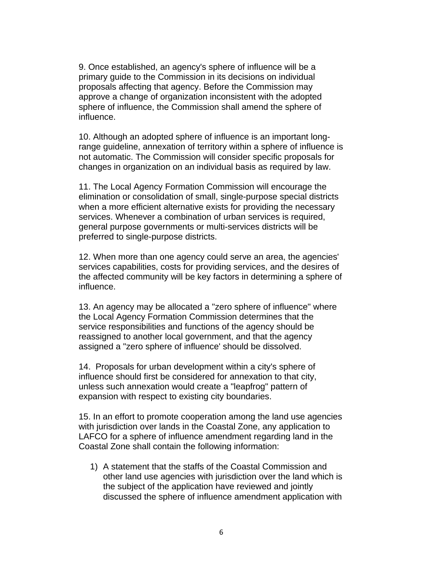9. Once established, an agency's sphere of influence will be a primary guide to the Commission in its decisions on individual proposals affecting that agency. Before the Commission may approve a change of organization inconsistent with the adopted sphere of influence, the Commission shall amend the sphere of influence.

10. Although an adopted sphere of influence is an important longrange guideline, annexation of territory within a sphere of influence is not automatic. The Commission will consider specific proposals for changes in organization on an individual basis as required by law.

11. The Local Agency Formation Commission will encourage the elimination or consolidation of small, single-purpose special districts when a more efficient alternative exists for providing the necessary services. Whenever a combination of urban services is required, general purpose governments or multi-services districts will be preferred to single-purpose districts.

12. When more than one agency could serve an area, the agencies' services capabilities, costs for providing services, and the desires of the affected community will be key factors in determining a sphere of influence.

13. An agency may be allocated a "zero sphere of influence" where the Local Agency Formation Commission determines that the service responsibilities and functions of the agency should be reassigned to another local government, and that the agency assigned a "zero sphere of influence' should be dissolved.

14. Proposals for urban development within a city's sphere of influence should first be considered for annexation to that city, unless such annexation would create a "leapfrog" pattern of expansion with respect to existing city boundaries.

15. In an effort to promote cooperation among the land use agencies with jurisdiction over lands in the Coastal Zone, any application to LAFCO for a sphere of influence amendment regarding land in the Coastal Zone shall contain the following information:

1) A statement that the staffs of the Coastal Commission and other land use agencies with jurisdiction over the land which is the subject of the application have reviewed and jointly discussed the sphere of influence amendment application with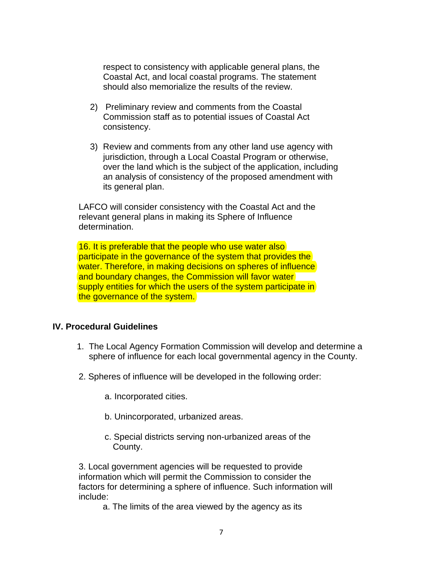respect to consistency with applicable general plans, the Coastal Act, and local coastal programs. The statement should also memorialize the results of the review.

- 2) Preliminary review and comments from the Coastal Commission staff as to potential issues of Coastal Act consistency.
- 3) Review and comments from any other land use agency with jurisdiction, through a Local Coastal Program or otherwise, over the land which is the subject of the application, including an analysis of consistency of the proposed amendment with its general plan.

LAFCO will consider consistency with the Coastal Act and the relevant general plans in making its Sphere of Influence determination.

16. It is preferable that the people who use water also participate in the governance of the system that provides the water. Therefore, in making decisions on spheres of influence and boundary changes, the Commission will favor water supply entities for which the users of the system participate in the governance of the system.

## **IV. Procedural Guidelines**

- 1. The Local Agency Formation Commission will develop and determine a sphere of influence for each local governmental agency in the County.
- 2. Spheres of influence will be developed in the following order:
	- a. Incorporated cities.
	- b. Unincorporated, urbanized areas.
	- c. Special districts serving non-urbanized areas of the County.

3. Local government agencies will be requested to provide information which will permit the Commission to consider the factors for determining a sphere of influence. Such information will include:

a. The limits of the area viewed by the agency as its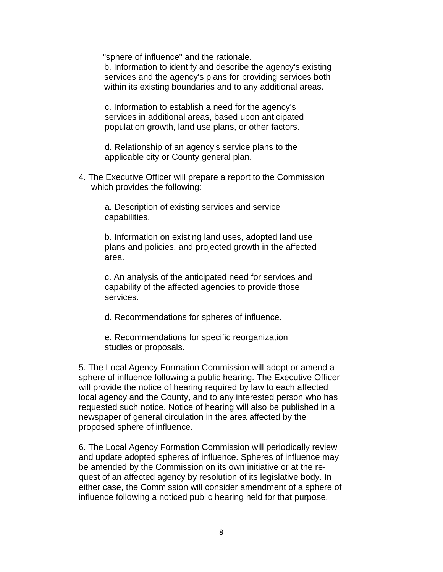"sphere of influence" and the rationale.

b. Information to identify and describe the agency's existing services and the agency's plans for providing services both within its existing boundaries and to any additional areas.

c. Information to establish a need for the agency's services in additional areas, based upon anticipated population growth, land use plans, or other factors.

d. Relationship of an agency's service plans to the applicable city or County general plan.

4. The Executive Officer will prepare a report to the Commission which provides the following:

> a. Description of existing services and service capabilities.

b. Information on existing land uses, adopted land use plans and policies, and projected growth in the affected area.

c. An analysis of the anticipated need for services and capability of the affected agencies to provide those services.

d. Recommendations for spheres of influence.

e. Recommendations for specific reorganization studies or proposals.

5. The Local Agency Formation Commission will adopt or amend a sphere of influence following a public hearing. The Executive Officer will provide the notice of hearing required by law to each affected local agency and the County, and to any interested person who has requested such notice. Notice of hearing will also be published in a newspaper of general circulation in the area affected by the proposed sphere of influence.

6. The Local Agency Formation Commission will periodically review and update adopted spheres of influence. Spheres of influence may be amended by the Commission on its own initiative or at the request of an affected agency by resolution of its legislative body. In either case, the Commission will consider amendment of a sphere of influence following a noticed public hearing held for that purpose.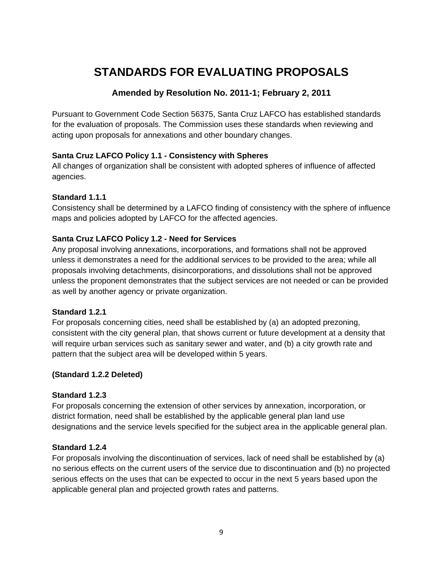## **STANDARDS FOR EVALUATING PROPOSALS**

## **Amended by Resolution No. 2011-1; February 2, 2011**

Pursuant to Government Code Section 56375, Santa Cruz LAFCO has established standards for the evaluation of proposals. The Commission uses these standards when reviewing and acting upon proposals for annexations and other boundary changes.

## **Santa Cruz LAFCO Policy 1.1 - Consistency with Spheres**

All changes of organization shall be consistent with adopted spheres of influence of affected agencies.

## **Standard 1.1.1**

Consistency shall be determined by a LAFCO finding of consistency with the sphere of influence maps and policies adopted by LAFCO for the affected agencies.

## **Santa Cruz LAFCO Policy 1.2 - Need for Services**

Any proposal involving annexations, incorporations, and formations shall not be approved unless it demonstrates a need for the additional services to be provided to the area; while all proposals involving detachments, disincorporations, and dissolutions shall not be approved unless the proponent demonstrates that the subject services are not needed or can be provided as well by another agency or private organization.

## **Standard 1.2.1**

For proposals concerning cities, need shall be established by (a) an adopted prezoning, consistent with the city general plan, that shows current or future development at a density that will require urban services such as sanitary sewer and water, and (b) a city growth rate and pattern that the subject area will be developed within 5 years.

## **(Standard 1.2.2 Deleted)**

## **Standard 1.2.3**

For proposals concerning the extension of other services by annexation, incorporation, or district formation, need shall be established by the applicable general plan land use designations and the service levels specified for the subject area in the applicable general plan.

## **Standard 1.2.4**

For proposals involving the discontinuation of services, lack of need shall be established by (a) no serious effects on the current users of the service due to discontinuation and (b) no projected serious effects on the uses that can be expected to occur in the next 5 years based upon the applicable general plan and projected growth rates and patterns.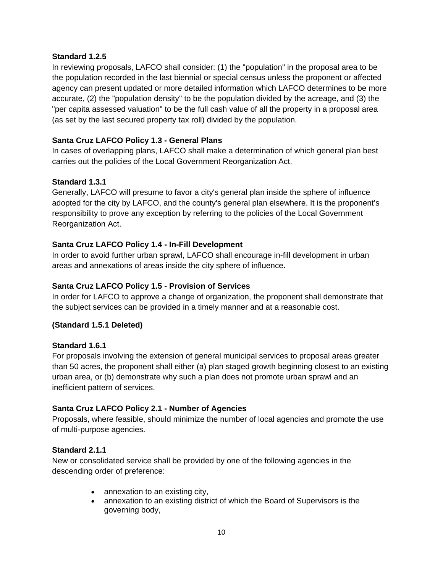#### **Standard 1.2.5**

In reviewing proposals, LAFCO shall consider: (1) the "population" in the proposal area to be the population recorded in the last biennial or special census unless the proponent or affected agency can present updated or more detailed information which LAFCO determines to be more accurate, (2) the "population density" to be the population divided by the acreage, and (3) the "per capita assessed valuation" to be the full cash value of all the property in a proposal area (as set by the last secured property tax roll) divided by the population.

#### **Santa Cruz LAFCO Policy 1.3 - General Plans**

In cases of overlapping plans, LAFCO shall make a determination of which general plan best carries out the policies of the Local Government Reorganization Act.

#### **Standard 1.3.1**

Generally, LAFCO will presume to favor a city's general plan inside the sphere of influence adopted for the city by LAFCO, and the county's general plan elsewhere. It is the proponent's responsibility to prove any exception by referring to the policies of the Local Government Reorganization Act.

#### **Santa Cruz LAFCO Policy 1.4 - In-Fill Development**

In order to avoid further urban sprawl, LAFCO shall encourage in-fill development in urban areas and annexations of areas inside the city sphere of influence.

## **Santa Cruz LAFCO Policy 1.5 - Provision of Services**

In order for LAFCO to approve a change of organization, the proponent shall demonstrate that the subject services can be provided in a timely manner and at a reasonable cost.

#### **(Standard 1.5.1 Deleted)**

#### **Standard 1.6.1**

For proposals involving the extension of general municipal services to proposal areas greater than 50 acres, the proponent shall either (a) plan staged growth beginning closest to an existing urban area, or (b) demonstrate why such a plan does not promote urban sprawl and an inefficient pattern of services.

#### **Santa Cruz LAFCO Policy 2.1 - Number of Agencies**

Proposals, where feasible, should minimize the number of local agencies and promote the use of multi-purpose agencies.

#### **Standard 2.1.1**

New or consolidated service shall be provided by one of the following agencies in the descending order of preference:

- annexation to an existing city,
- annexation to an existing district of which the Board of Supervisors is the governing body,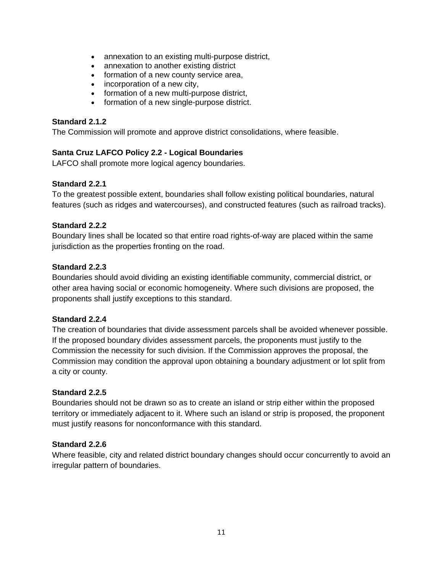- $\bullet$ annexation to an existing multi-purpose district,
- $\bullet$ annexation to another existing district
- formation of a new county service area,
- incorporation of a new city,
- formation of a new multi-purpose district,
- formation of a new single-purpose district.

#### **Standard 2.1.2**

The Commission will promote and approve district consolidations, where feasible.

#### **Santa Cruz LAFCO Policy 2.2 - Logical Boundaries**

LAFCO shall promote more logical agency boundaries.

#### **Standard 2.2.1**

To the greatest possible extent, boundaries shall follow existing political boundaries, natural features (such as ridges and watercourses), and constructed features (such as railroad tracks).

#### **Standard 2.2.2**

Boundary lines shall be located so that entire road rights-of-way are placed within the same jurisdiction as the properties fronting on the road.

#### **Standard 2.2.3**

Boundaries should avoid dividing an existing identifiable community, commercial district, or other area having social or economic homogeneity. Where such divisions are proposed, the proponents shall justify exceptions to this standard.

#### **Standard 2.2.4**

The creation of boundaries that divide assessment parcels shall be avoided whenever possible. If the proposed boundary divides assessment parcels, the proponents must justify to the Commission the necessity for such division. If the Commission approves the proposal, the Commission may condition the approval upon obtaining a boundary adjustment or lot split from a city or county.

#### **Standard 2.2.5**

Boundaries should not be drawn so as to create an island or strip either within the proposed territory or immediately adjacent to it. Where such an island or strip is proposed, the proponent must justify reasons for nonconformance with this standard.

#### **Standard 2.2.6**

Where feasible, city and related district boundary changes should occur concurrently to avoid an irregular pattern of boundaries.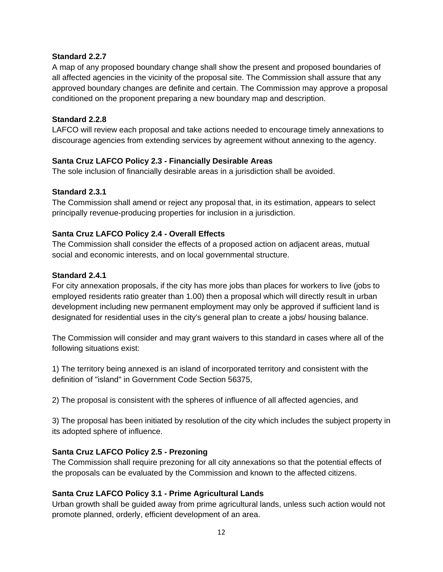#### **Standard 2.2.7**

A map of any proposed boundary change shall show the present and proposed boundaries of all affected agencies in the vicinity of the proposal site. The Commission shall assure that any approved boundary changes are definite and certain. The Commission may approve a proposal conditioned on the proponent preparing a new boundary map and description.

#### **Standard 2.2.8**

LAFCO will review each proposal and take actions needed to encourage timely annexations to discourage agencies from extending services by agreement without annexing to the agency.

#### **Santa Cruz LAFCO Policy 2.3 - Financially Desirable Areas**

The sole inclusion of financially desirable areas in a jurisdiction shall be avoided.

#### **Standard 2.3.1**

The Commission shall amend or reject any proposal that, in its estimation, appears to select principally revenue-producing properties for inclusion in a jurisdiction.

#### **Santa Cruz LAFCO Policy 2.4 - Overall Effects**

The Commission shall consider the effects of a proposed action on adjacent areas, mutual social and economic interests, and on local governmental structure.

#### **Standard 2.4.1**

For city annexation proposals, if the city has more jobs than places for workers to live (jobs to employed residents ratio greater than 1.00) then a proposal which will directly result in urban development including new permanent employment may only be approved if sufficient land is designated for residential uses in the city's general plan to create a jobs/ housing balance.

The Commission will consider and may grant waivers to this standard in cases where all of the following situations exist:

1) The territory being annexed is an island of incorporated territory and consistent with the definition of "island" in Government Code Section 56375,

2) The proposal is consistent with the spheres of influence of all affected agencies, and

3) The proposal has been initiated by resolution of the city which includes the subject property in its adopted sphere of influence.

## **Santa Cruz LAFCO Policy 2.5 - Prezoning**

The Commission shall require prezoning for all city annexations so that the potential effects of the proposals can be evaluated by the Commission and known to the affected citizens.

## **Santa Cruz LAFCO Policy 3.1 - Prime Agricultural Lands**

Urban growth shall be guided away from prime agricultural lands, unless such action would not promote planned, orderly, efficient development of an area.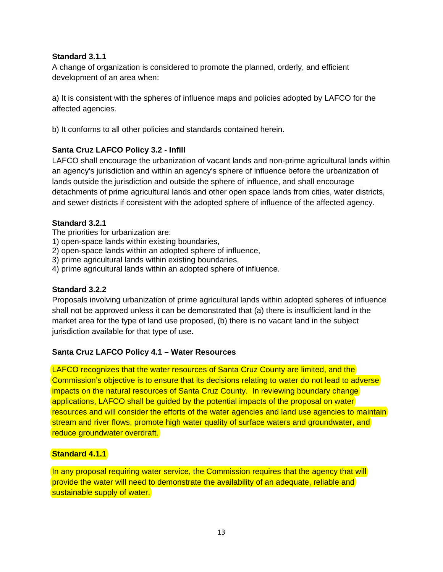#### **Standard 3.1.1**

A change of organization is considered to promote the planned, orderly, and efficient development of an area when:

a) It is consistent with the spheres of influence maps and policies adopted by LAFCO for the affected agencies.

b) It conforms to all other policies and standards contained herein.

## **Santa Cruz LAFCO Policy 3.2 - Infill**

LAFCO shall encourage the urbanization of vacant lands and non-prime agricultural lands within an agency's jurisdiction and within an agency's sphere of influence before the urbanization of lands outside the jurisdiction and outside the sphere of influence, and shall encourage detachments of prime agricultural lands and other open space lands from cities, water districts, and sewer districts if consistent with the adopted sphere of influence of the affected agency.

#### **Standard 3.2.1**

The priorities for urbanization are:

- 1) open-space lands within existing boundaries,
- 2) open-space lands within an adopted sphere of influence,
- 3) prime agricultural lands within existing boundaries,
- 4) prime agricultural lands within an adopted sphere of influence.

#### **Standard 3.2.2**

Proposals involving urbanization of prime agricultural lands within adopted spheres of influence shall not be approved unless it can be demonstrated that (a) there is insufficient land in the market area for the type of land use proposed, (b) there is no vacant land in the subject jurisdiction available for that type of use.

#### **Santa Cruz LAFCO Policy 4.1 – Water Resources**

LAFCO recognizes that the water resources of Santa Cruz County are limited, and the Commission's objective is to ensure that its decisions relating to water do not lead to adverse impacts on the natural resources of Santa Cruz County. In reviewing boundary change applications, LAFCO shall be guided by the potential impacts of the proposal on water resources and will consider the efforts of the water agencies and land use agencies to maintain stream and river flows, promote high water quality of surface waters and groundwater, and reduce groundwater overdraft.

#### **Standard 4.1.1**

In any proposal requiring water service, the Commission requires that the agency that will provide the water will need to demonstrate the availability of an adequate, reliable and sustainable supply of water.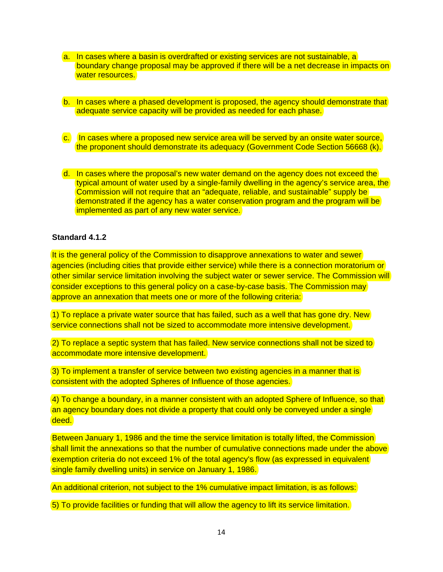- a. In cases where a basin is overdrafted or existing services are not sustainable, a boundary change proposal may be approved if there will be a net decrease in impacts on water resources.
- b. In cases where a phased development is proposed, the agency should demonstrate that adequate service capacity will be provided as needed for each phase.
- c. In cases where a proposed new service area will be served by an onsite water source, the proponent should demonstrate its adequacy (Government Code Section 56668 (k).
- d. In cases where the proposal's new water demand on the agency does not exceed the typical amount of water used by a single-family dwelling in the agency's service area, the Commission will not require that an "adequate, reliable, and sustainable" supply be demonstrated if the agency has a water conservation program and the program will be implemented as part of any new water service.

#### **Standard 4.1.2**

It is the general policy of the Commission to disapprove annexations to water and sewer agencies (including cities that provide either service) while there is a connection moratorium or other similar service limitation involving the subject water or sewer service. The Commission will consider exceptions to this general policy on a case-by-case basis. The Commission may approve an annexation that meets one or more of the following criteria:

1) To replace a private water source that has failed, such as a well that has gone dry. New service connections shall not be sized to accommodate more intensive development.

2) To replace a septic system that has failed. New service connections shall not be sized to accommodate more intensive development.

3) To implement a transfer of service between two existing agencies in a manner that is consistent with the adopted Spheres of Influence of those agencies.

4) To change a boundary, in a manner consistent with an adopted Sphere of Influence, so that an agency boundary does not divide a property that could only be conveyed under a single deed.

Between January 1, 1986 and the time the service limitation is totally lifted, the Commission shall limit the annexations so that the number of cumulative connections made under the above exemption criteria do not exceed 1% of the total agency's flow (as expressed in equivalent single family dwelling units) in service on January 1, 1986.

An additional criterion, not subject to the 1% cumulative impact limitation, is as follows:

5) To provide facilities or funding that will allow the agency to lift its service limitation.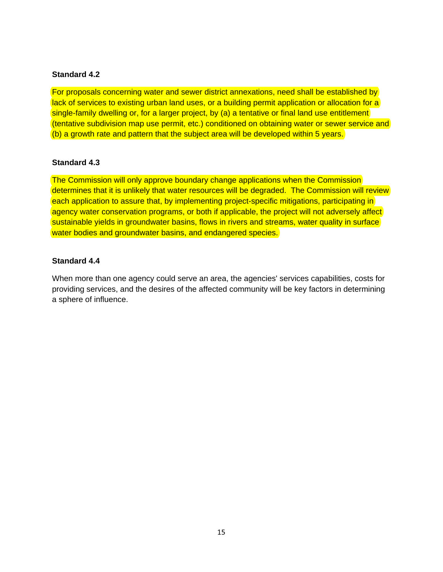#### **Standard 4.2**

For proposals concerning water and sewer district annexations, need shall be established by lack of services to existing urban land uses, or a building permit application or allocation for a single-family dwelling or, for a larger project, by (a) a tentative or final land use entitlement (tentative subdivision map use permit, etc.) conditioned on obtaining water or sewer service and (b) a growth rate and pattern that the subject area will be developed within 5 years.

#### **Standard 4.3**

The Commission will only approve boundary change applications when the Commission determines that it is unlikely that water resources will be degraded. The Commission will review each application to assure that, by implementing project-specific mitigations, participating in agency water conservation programs, or both if applicable, the project will not adversely affect sustainable yields in groundwater basins, flows in rivers and streams, water quality in surface water bodies and groundwater basins, and endangered species.

#### **Standard 4.4**

When more than one agency could serve an area, the agencies' services capabilities, costs for providing services, and the desires of the affected community will be key factors in determining a sphere of influence.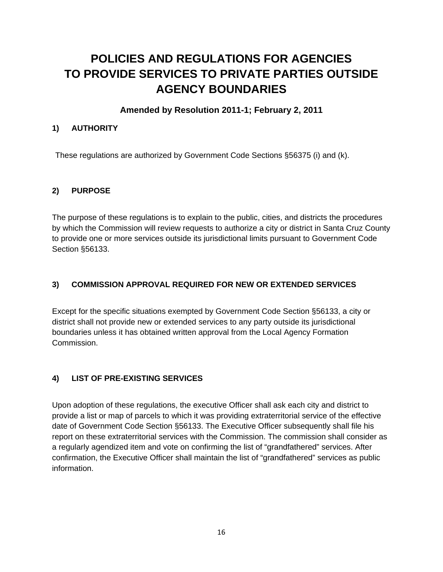# **POLICIES AND REGULATIONS FOR AGENCIES TO PROVIDE SERVICES TO PRIVATE PARTIES OUTSIDE AGENCY BOUNDARIES**

## **Amended by Resolution 2011-1; February 2, 2011**

## **1) AUTHORITY**

These regulations are authorized by Government Code Sections §56375 (i) and (k).

## **2) PURPOSE**

The purpose of these regulations is to explain to the public, cities, and districts the procedures by which the Commission will review requests to authorize a city or district in Santa Cruz County to provide one or more services outside its jurisdictional limits pursuant to Government Code Section §56133.

## **3) COMMISSION APPROVAL REQUIRED FOR NEW OR EXTENDED SERVICES**

Except for the specific situations exempted by Government Code Section §56133, a city or district shall not provide new or extended services to any party outside its jurisdictional boundaries unless it has obtained written approval from the Local Agency Formation Commission.

## **4) LIST OF PRE-EXISTING SERVICES**

Upon adoption of these regulations, the executive Officer shall ask each city and district to provide a list or map of parcels to which it was providing extraterritorial service of the effective date of Government Code Section §56133. The Executive Officer subsequently shall file his report on these extraterritorial services with the Commission. The commission shall consider as a regularly agendized item and vote on confirming the list of "grandfathered" services. After confirmation, the Executive Officer shall maintain the list of "grandfathered" services as public information.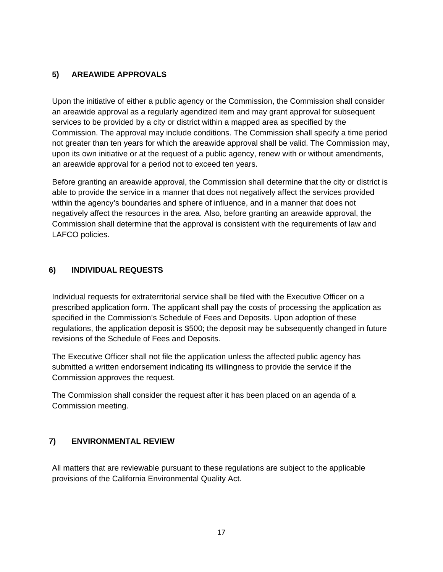## **5) AREAWIDE APPROVALS**

Upon the initiative of either a public agency or the Commission, the Commission shall consider an areawide approval as a regularly agendized item and may grant approval for subsequent services to be provided by a city or district within a mapped area as specified by the Commission. The approval may include conditions. The Commission shall specify a time period not greater than ten years for which the areawide approval shall be valid. The Commission may, upon its own initiative or at the request of a public agency, renew with or without amendments, an areawide approval for a period not to exceed ten years.

Before granting an areawide approval, the Commission shall determine that the city or district is able to provide the service in a manner that does not negatively affect the services provided within the agency's boundaries and sphere of influence, and in a manner that does not negatively affect the resources in the area. Also, before granting an areawide approval, the Commission shall determine that the approval is consistent with the requirements of law and LAFCO policies.

## **6) INDIVIDUAL REQUESTS**

Individual requests for extraterritorial service shall be filed with the Executive Officer on a prescribed application form. The applicant shall pay the costs of processing the application as specified in the Commission's Schedule of Fees and Deposits. Upon adoption of these regulations, the application deposit is \$500; the deposit may be subsequently changed in future revisions of the Schedule of Fees and Deposits.

The Executive Officer shall not file the application unless the affected public agency has submitted a written endorsement indicating its willingness to provide the service if the Commission approves the request.

The Commission shall consider the request after it has been placed on an agenda of a Commission meeting.

## **7) ENVIRONMENTAL REVIEW**

All matters that are reviewable pursuant to these regulations are subject to the applicable provisions of the California Environmental Quality Act.